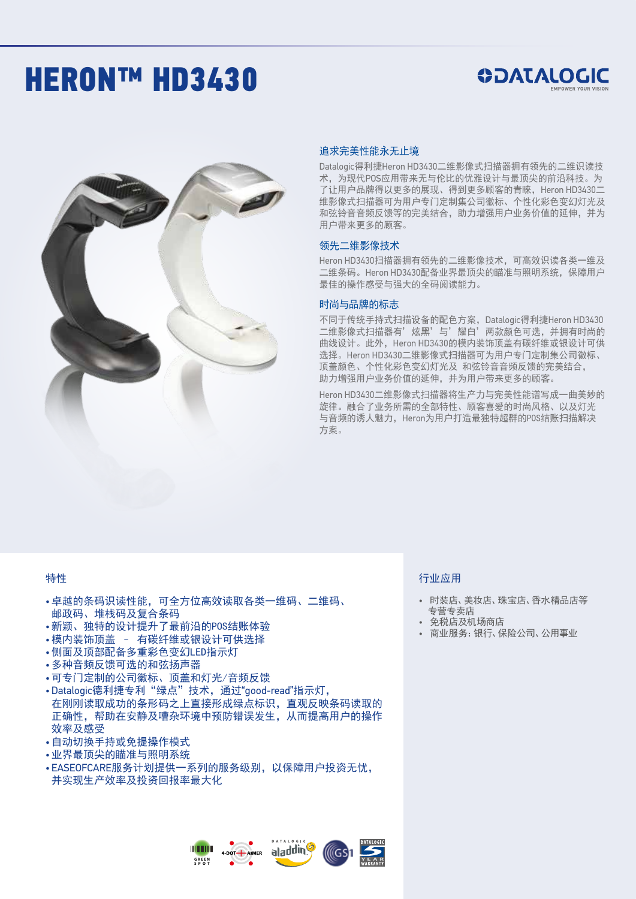# **HERON™ HD3430**

## **SOATALOGIC**



#### 追求完美性能永无止境

Datalogic得利捷Heron HD3430二维影像式扫描器拥有领先的二维识读技 术,为现代POS应用带来无与伦比的优雅设计与最顶尖的前沿科技。为 了让用户品牌得以更多的展现、得到更多顾客的青睐,Heron HD3430二 维影像式扫描器可为用户专门定制集公司徽标、个性化彩色变幻灯光及 和弦铃音音频反馈等的完美结合,助力增强用户业务价值的延伸,并为 用户带来更多的顾客。

#### 领先二维影像技术

Heron HD3430扫描器拥有领先的二维影像技术,可高效识读各类一维及 二维条码。Heron HD3430配备业界最顶尖的瞄准与照明系统,保障用户 最佳的操作感受与强大的全码阅读能力。

#### 时尚与品牌的标志

不同于传统手持式扫描设备的配色方案,Datalogic得利捷Heron HD3430 二维影像式扫描器有'炫黑'与'耀白'两款颜色可选,并拥有时尚的 曲线设计。此外, Heron HD3430的模内装饰顶盖有碳纤维或银设计可供 选择。Heron HD3430二维影像式扫描器可为用户专门定制集公司徽标、 顶盖颜色、个性化彩色变幻灯光及 和弦铃音音频反馈的完美结合, 助力增强用户业务价值的延伸,并为用户带来更多的顾客。

Heron HD3430二维影像式扫描器将生产力与完美性能谱写成一曲美妙的 旋律。融合了业务所需的全部特性、顾客喜爱的时尚风格、以及灯光 与音频的诱人魅力, Heron为用户打造最独特超群的POS结账扫描解决 方案。

#### 特性

- •卓越的条码识读性能,可全方位高效读取各类一维码、二维码、 邮政码、堆栈码及复合条码
- •新颖、独特的设计提升了最前沿的POS结账体验
- •模内装饰顶盖 有碳纤维或银设计可供选择
- •侧面及顶部配备多重彩色变幻LED指示灯
- •多种音频反馈可选的和弦扬声器
- •可专门定制的公司徽标、顶盖和灯光/音频反馈
- Datalogic德利捷专利"绿点"技术,通过"good-read"指示灯, 在刚刚读取成功的条形码之上直接形成绿点标识,直观反映条码读取的 正确性,帮助在安静及嘈杂环境中预防错误发生,从而提高用户的操作 效率及感受
- •自动切换手持或免提操作模式
- •业界最顶尖的瞄准与照明系统
- EASEOFCARE服务计划提供一系列的服务级别,以保障用户投资无忧, 并实现生产效率及投资回报率最大化

#### 行业应用

- 时装店、美妆店、珠宝店、香水精品店等 专营专卖店
- 免税店及机场商店
- 商业服务:银行、保险公司、公用事业